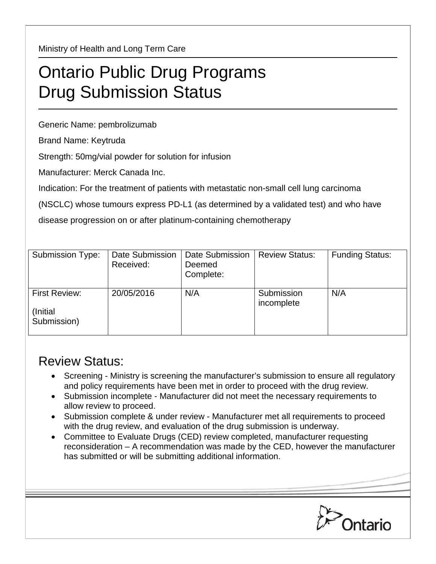Ministry of Health and Long Term Care

## Ontario Public Drug Programs Drug Submission Status

Generic Name: pembrolizumab

Brand Name: Keytruda

Strength: 50mg/vial powder for solution for infusion

Manufacturer: Merck Canada Inc.

Indication: For the treatment of patients with metastatic non-small cell lung carcinoma

(NSCLC) whose tumours express PD-L1 (as determined by a validated test) and who have

disease progression on or after platinum-containing chemotherapy

| Submission Type:                                 | Date Submission<br>Received: | Date Submission<br>Deemed<br>Complete: | <b>Review Status:</b>    | <b>Funding Status:</b> |
|--------------------------------------------------|------------------------------|----------------------------------------|--------------------------|------------------------|
| <b>First Review:</b><br>(Initial)<br>Submission) | 20/05/2016                   | N/A                                    | Submission<br>incomplete | N/A                    |

## Review Status:

- Screening Ministry is screening the manufacturer's submission to ensure all regulatory and policy requirements have been met in order to proceed with the drug review.
- Submission incomplete Manufacturer did not meet the necessary requirements to allow review to proceed.
- Submission complete & under review Manufacturer met all requirements to proceed with the drug review, and evaluation of the drug submission is underway.
- Committee to Evaluate Drugs (CED) review completed, manufacturer requesting reconsideration – A recommendation was made by the CED, however the manufacturer has submitted or will be submitting additional information.